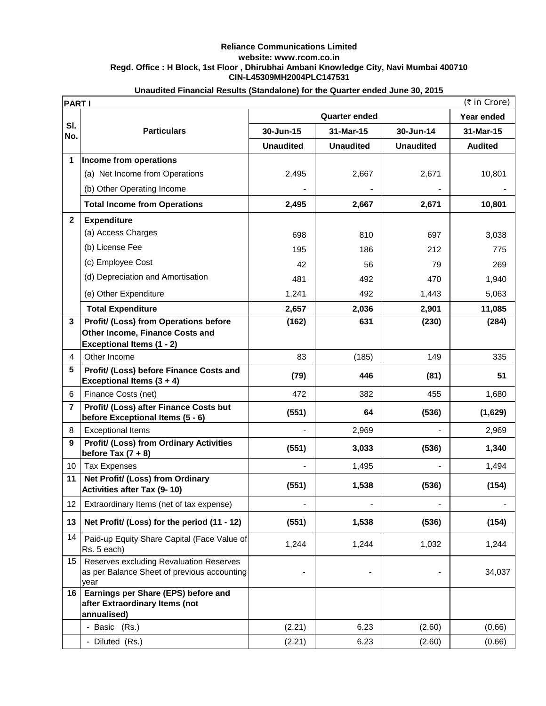## **Reliance Communications Limited website: www.rcom.co.in Regd. Office : H Block, 1st Floor , Dhirubhai Ambani Knowledge City, Navi Mumbai 400710 CIN-L45309MH2004PLC147531**

|                | (₹ in Crore)<br><b>PARTI</b>                                                                   |                      |                  |                  |                |  |  |
|----------------|------------------------------------------------------------------------------------------------|----------------------|------------------|------------------|----------------|--|--|
|                |                                                                                                | <b>Quarter ended</b> |                  |                  | Year ended     |  |  |
| SI.<br>No.     | <b>Particulars</b>                                                                             | 30-Jun-15            | 31-Mar-15        | 30-Jun-14        | 31-Mar-15      |  |  |
|                |                                                                                                | <b>Unaudited</b>     | <b>Unaudited</b> | <b>Unaudited</b> | <b>Audited</b> |  |  |
| 1              | Income from operations                                                                         |                      |                  |                  |                |  |  |
|                | (a) Net Income from Operations                                                                 | 2,495                | 2,667            | 2,671            | 10,801         |  |  |
|                | (b) Other Operating Income                                                                     |                      |                  |                  |                |  |  |
|                | <b>Total Income from Operations</b>                                                            | 2,495                | 2,667            | 2,671            | 10,801         |  |  |
| $\mathbf{2}$   | <b>Expenditure</b>                                                                             |                      |                  |                  |                |  |  |
|                | (a) Access Charges                                                                             | 698                  | 810              | 697              | 3,038          |  |  |
|                | (b) License Fee                                                                                | 195                  | 186              | 212              | 775            |  |  |
|                | (c) Employee Cost                                                                              | 42                   | 56               | 79               | 269            |  |  |
|                | (d) Depreciation and Amortisation                                                              | 481                  | 492              | 470              | 1,940          |  |  |
|                | (e) Other Expenditure                                                                          | 1,241                | 492              | 1,443            | 5,063          |  |  |
|                | <b>Total Expenditure</b>                                                                       | 2,657                | 2,036            | 2,901            | 11,085         |  |  |
| 3              | Profit/ (Loss) from Operations before                                                          | (162)                | 631              | (230)            | (284)          |  |  |
|                | Other Income, Finance Costs and<br><b>Exceptional Items (1 - 2)</b>                            |                      |                  |                  |                |  |  |
| 4              | Other Income                                                                                   | 83                   | (185)            | 149              | 335            |  |  |
| 5              | Profit/ (Loss) before Finance Costs and                                                        |                      |                  |                  |                |  |  |
|                | Exceptional Items $(3 + 4)$                                                                    | (79)                 | 446              | (81)             | 51             |  |  |
| 6              | Finance Costs (net)                                                                            | 472                  | 382              | 455              | 1,680          |  |  |
| $\overline{7}$ | Profit/ (Loss) after Finance Costs but<br>before Exceptional Items (5 - 6)                     | (551)                | 64               | (536)            | (1,629)        |  |  |
| 8              | <b>Exceptional Items</b>                                                                       |                      | 2,969            |                  | 2,969          |  |  |
| 9              | <b>Profit/ (Loss) from Ordinary Activities</b><br>before Tax $(7 + 8)$                         | (551)                | 3,033            | (536)            | 1,340          |  |  |
| 10             | <b>Tax Expenses</b>                                                                            |                      | 1,495            |                  | 1,494          |  |  |
| 11             | Net Profit/ (Loss) from Ordinary<br><b>Activities after Tax (9-10)</b>                         | (551)                | 1,538            | (536)            | (154)          |  |  |
| 12             | Extraordinary Items (net of tax expense)                                                       | $\blacksquare$       |                  |                  |                |  |  |
| 13             | Net Profit/ (Loss) for the period (11 - 12)                                                    | (551)                | 1,538            | (536)            | (154)          |  |  |
| 14             | Paid-up Equity Share Capital (Face Value of<br>Rs. 5 each)                                     | 1,244                | 1,244            | 1,032            | 1,244          |  |  |
| 15             | Reserves excluding Revaluation Reserves<br>as per Balance Sheet of previous accounting<br>year |                      |                  |                  | 34,037         |  |  |
| 16             | Earnings per Share (EPS) before and<br>after Extraordinary Items (not<br>annualised)           |                      |                  |                  |                |  |  |
|                | - Basic (Rs.)                                                                                  | (2.21)               | 6.23             | (2.60)           | (0.66)         |  |  |
|                | - Diluted (Rs.)                                                                                | (2.21)               | 6.23             | (2.60)           | (0.66)         |  |  |

## **Unaudited Financial Results (Standalone) for the Quarter ended June 30, 2015**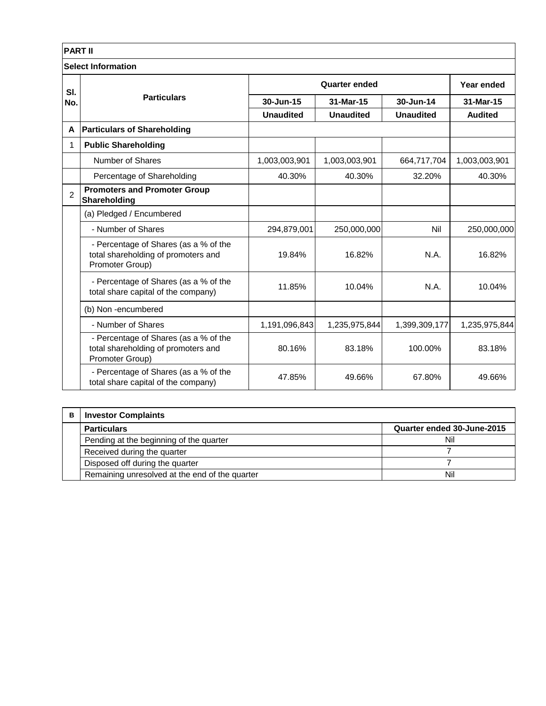| <b>PART II</b>            |                                                                                                 |                      |                  |                  |                |  |  |  |
|---------------------------|-------------------------------------------------------------------------------------------------|----------------------|------------------|------------------|----------------|--|--|--|
| <b>Select Information</b> |                                                                                                 |                      |                  |                  |                |  |  |  |
| SI.                       | <b>Particulars</b>                                                                              | <b>Quarter ended</b> |                  |                  | Year ended     |  |  |  |
| No.                       |                                                                                                 | 30-Jun-15            | 31-Mar-15        | 30-Jun-14        | 31-Mar-15      |  |  |  |
|                           |                                                                                                 | <b>Unaudited</b>     | <b>Unaudited</b> | <b>Unaudited</b> | <b>Audited</b> |  |  |  |
| A                         | <b>Particulars of Shareholding</b>                                                              |                      |                  |                  |                |  |  |  |
| 1                         | <b>Public Shareholding</b>                                                                      |                      |                  |                  |                |  |  |  |
|                           | Number of Shares                                                                                | 1,003,003,901        | 1,003,003,901    | 664,717,704      | 1,003,003,901  |  |  |  |
|                           | Percentage of Shareholding                                                                      | 40.30%               | 40.30%           | 32.20%           | 40.30%         |  |  |  |
| $\mathfrak{p}$            | <b>Promoters and Promoter Group</b><br>Shareholding                                             |                      |                  |                  |                |  |  |  |
|                           | (a) Pledged / Encumbered                                                                        |                      |                  |                  |                |  |  |  |
|                           | - Number of Shares                                                                              | 294,879,001          | 250,000,000      | Nil              | 250,000,000    |  |  |  |
|                           | - Percentage of Shares (as a % of the<br>total shareholding of promoters and<br>Promoter Group) | 19.84%               | 16.82%           | N.A.             | 16.82%         |  |  |  |
|                           | - Percentage of Shares (as a % of the<br>total share capital of the company)                    | 11.85%               | 10.04%           | N.A.             | 10.04%         |  |  |  |
|                           | (b) Non-encumbered                                                                              |                      |                  |                  |                |  |  |  |
|                           | - Number of Shares                                                                              | 1,191,096,843        | 1,235,975,844    | 1,399,309,177    | 1,235,975,844  |  |  |  |
|                           | - Percentage of Shares (as a % of the<br>total shareholding of promoters and<br>Promoter Group) | 80.16%               | 83.18%           | 100.00%          | 83.18%         |  |  |  |
|                           | - Percentage of Shares (as a % of the<br>total share capital of the company)                    | 47.85%               | 49.66%           | 67.80%           | 49.66%         |  |  |  |

| в | <b>Investor Complaints</b>                     |                            |  |  |  |
|---|------------------------------------------------|----------------------------|--|--|--|
|   | <b>Particulars</b>                             | Quarter ended 30-June-2015 |  |  |  |
|   | Pending at the beginning of the quarter        | Nil                        |  |  |  |
|   | Received during the quarter                    |                            |  |  |  |
|   | Disposed off during the quarter                |                            |  |  |  |
|   | Remaining unresolved at the end of the quarter | Nil                        |  |  |  |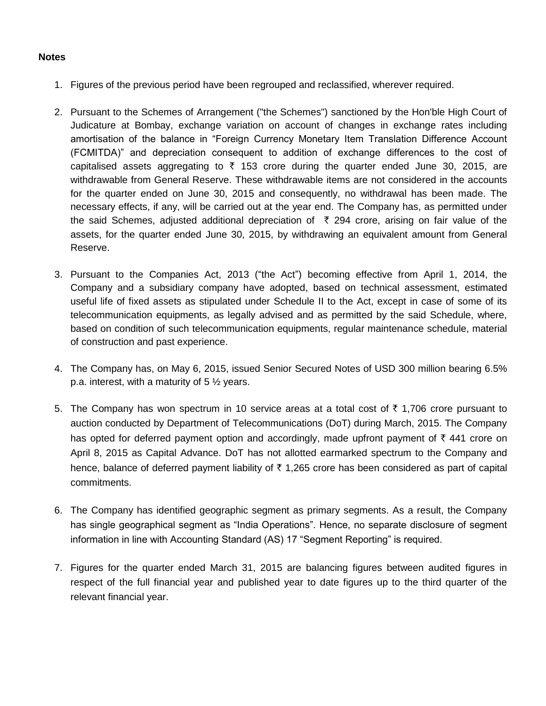## **Notes**

- 1. Figures of the previous period have been regrouped and reclassified, wherever required.
- 2. Pursuant to the Schemes of Arrangement ("the Schemes") sanctioned by the Hon'ble High Court of Judicature at Bombay, exchange variation on account of changes in exchange rates including amortisation of the balance in "Foreign Currency Monetary Item Translation Difference Account (FCMITDA)" and depreciation consequent to addition of exchange differences to the cost of capitalised assets aggregating to  $\bar{\tau}$  153 crore during the quarter ended June 30, 2015, are withdrawable from General Reserve. These withdrawable items are not considered in the accounts for the quarter ended on June 30, 2015 and consequently, no withdrawal has been made. The necessary effects, if any, will be carried out at the year end. The Company has, as permitted under the said Schemes, adjusted additional depreciation of  $\bar{\tau}$  294 crore, arising on fair value of the assets, for the quarter ended June 30, 2015, by withdrawing an equivalent amount from General Reserve.
- 3. Pursuant to the Companies Act, 2013 ("the Act") becoming effective from April 1, 2014, the Company and a subsidiary company have adopted, based on technical assessment, estimated useful life of fixed assets as stipulated under Schedule II to the Act, except in case of some of its telecommunication equipments, as legally advised and as permitted by the said Schedule, where, based on condition of such telecommunication equipments, regular maintenance schedule, material of construction and past experience.
- 4. The Company has, on May 6, 2015, issued Senior Secured Notes of USD 300 million bearing 6.5% p.a. interest, with a maturity of 5 ½ years.
- 5. The Company has won spectrum in 10 service areas at a total cost of  $\bar{\tau}$  1,706 crore pursuant to auction conducted by Department of Telecommunications (DoT) during March, 2015. The Company has opted for deferred payment option and accordingly, made upfront payment of  $\bar{\tau}$  441 crore on April 8, 2015 as Capital Advance. DoT has not allotted earmarked spectrum to the Company and hence, balance of deferred payment liability of  $\bar{\tau}$  1,265 crore has been considered as part of capital commitments.
- 6. The Company has identified geographic segment as primary segments. As a result, the Company has single geographical segment as "India Operations". Hence, no separate disclosure of segment information in line with Accounting Standard (AS) 17 "Segment Reporting" is required.
- 7. Figures for the quarter ended March 31, 2015 are balancing figures between audited figures in respect of the full financial year and published year to date figures up to the third quarter of the relevant financial year.